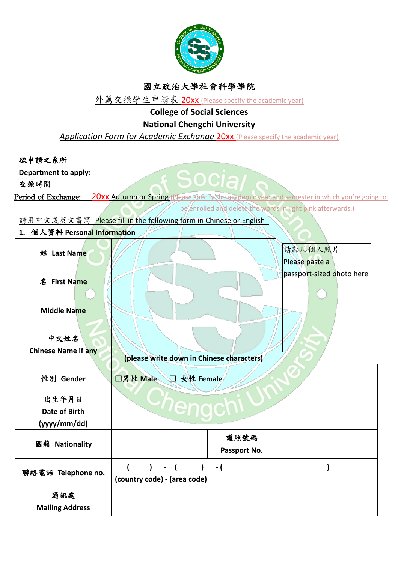

### 國立政治大學社會科學學院

外薦交換學生申請表 20xx (Please specify the academic year)

#### **College of Social Sciences National Chengchi University**

*Application Form for Academic Exchange* 20xx (Please specify the academic year)

欲申請之系所 **Department to apply:** 交換時間 Period of Exchange: 20xx Autumn or Spring (Please specify the academic year and semester in which you're going to be enrolled and delete the words in light pink afterwards.) 請用中文或英文書寫 Please fill in the following form in Chinese or English **1.** 個人資料 **Personal Information** 姓 Last Name **the second of the contract of the contract of the contract of the contract of the contract of the contract of the contract of the contract of the contract of the contract of the contract of the contract of t** Please paste a passport-sized photo here 名 **First Name Middle Name** 中文姓名 **Chinese Name if any (please write down in Chinese characters)** 性別 Gender **Ⅰ口男性 Male □ 女性 Female** 出生年月日 **Date of Birth (yyyy/mm/dd)** 國籍 Nationality **Nationality Nationality Research of the original of the original of the original of the original Passport No.** 聯絡電話 **Telephone no. ( ) - ( ) - ( ) (country code) - (area code)**  通訊處 **Mailing Address**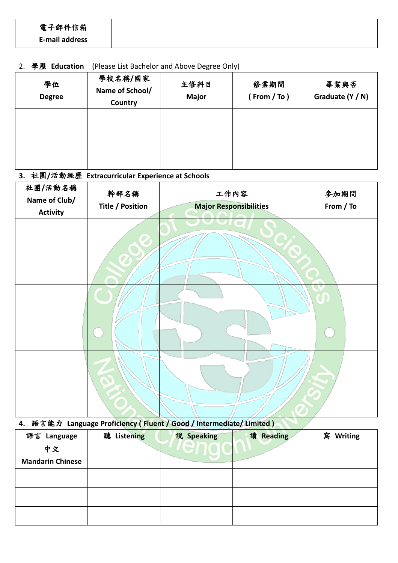**E-mail address**

2. 學歷 **Education** (Please List Bachelor and Above Degree Only)

| 學位<br><b>Degree</b> | 學校名稱/國家<br>Name of School/<br>Country | 主修科目<br><b>Major</b> | 修業期間<br>(From / To) | 畢業與否<br>Graduate (Y / N) |
|---------------------|---------------------------------------|----------------------|---------------------|--------------------------|
|                     |                                       |                      |                     |                          |
|                     |                                       |                      |                     |                          |

### **3.** 社團**/**活動經歷 **Extracurricular Experience at Schools**

| 社團/活動名稱<br>Name of Club/<br><b>Activity</b> | 幹部名稱<br>Title / Position | 工作內容<br><b>Major Responsibilities</b> | 參加期間<br>From / To |
|---------------------------------------------|--------------------------|---------------------------------------|-------------------|
|                                             |                          |                                       |                   |
|                                             |                          |                                       |                   |
|                                             |                          |                                       |                   |

# **4.** 語言能力 **Language Proficiency ( Fluent / Good / Intermediate/ Limited )**

| 語言 Language             | 聽 Listening | <b>說 Speaking</b> | 讀 Reading | 寫<br><b>Writing</b> |
|-------------------------|-------------|-------------------|-----------|---------------------|
| 中文                      |             |                   |           |                     |
| <b>Mandarin Chinese</b> |             |                   |           |                     |
|                         |             |                   |           |                     |
|                         |             |                   |           |                     |
|                         |             |                   |           |                     |
|                         |             |                   |           |                     |
|                         |             |                   |           |                     |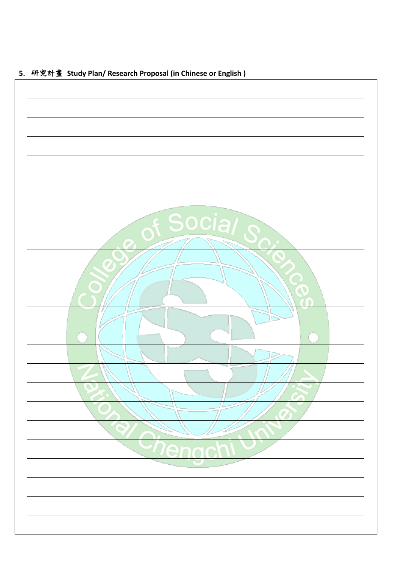

**5.** 研究計畫 **Study Plan/ Research Proposal (in Chinese or English )**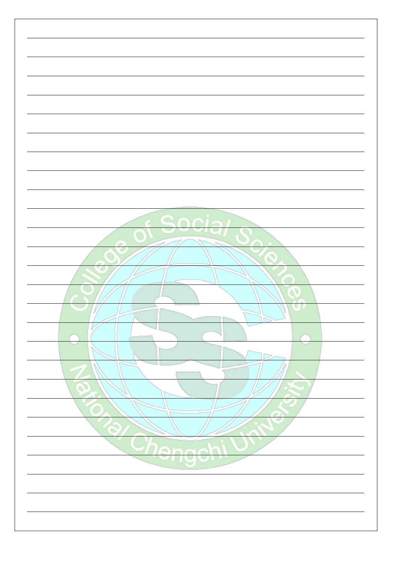